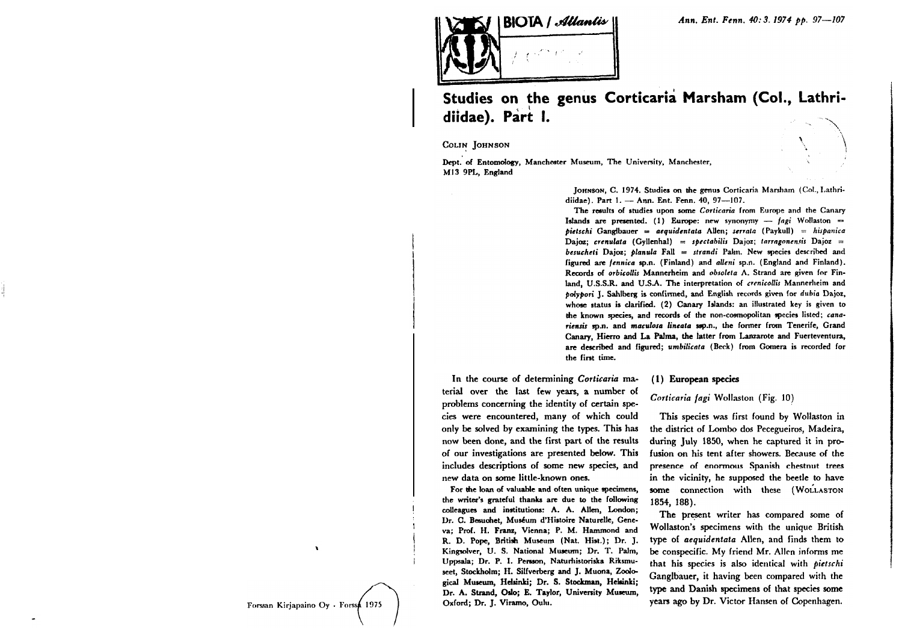

# Studies on the genus Corticaria Marsham (Col., Lathridiidae). Part I.

COLIN JOHNSON

Dept. of Entomology, Manchester Museum, The University, Manchester, M13 9PL, England



JOHNSON, C. 1974. Studies on the genus Corticaria Marsham (Col., Lathridiidae). Part 1. - Ann. Ent. Fenn. 40, 97-107.

The results of studies upon some Corticaria from Europe and the Canary Islands are presented. (1) Europe: new synonymy - fagi Wollaston =  $bietschi$  Gangibauer = aequidentata Allen; serrata (Paykull) = hispanica Dajoz; crenulata (Gyllenhal) = spectabilis Dajoz; tarragonensis Dajoz = besucheti Dajoz: planula Fall = strandi Palm. New species described and figured are fennica sp.n. (Finland) and alleni sp.n. (England and Finland). Records of orbicollis Mannerheim and obsoleta A. Strand are given for Finland, U.S.S.R. and U.S.A. The interpretation of crenicollis Mannerheim and polypori J. Sahlberg is confirmed, and English records given for dubia Dajoz, whose status is clarified. (2) Canary Islands: an illustrated key is given to the known species, and records of the non-cosmopolitan species listed; canariensis sp.n. and maculosa lineata ssp.n., the former from Tenerife, Grand Canary. Hierro and La Palma, the latter from Lanzarote and Fuerteventura, are described and figured; umbilicata (Beck) from Gomera is recorded for the first time.

In the course of determining Corticaria material over the last few years, a number of problems concerning the identity of certain species were encountered, many of which could only be solved by examining the types. This has now been done, and the first part of the results of our investigations are presented below. This includes descriptions of some new species, and new data on some little-known ones.

For the loan of valuable and often unique specimens. the writer's grateful thanks are due to the following colleagues and institutions: A. A. Allen, London; Dr. C. Besuchet, Muséum d'Histoire Naturelle, Geneva; Prof. H. Franz, Vienna; P. M. Hammond and R. D. Pope, British Museum (Nat. Hist.); Dr. J. Kingsolver, U. S. National Museum; Dr. T. Palm, Uppsala; Dr. P. I. Persson, Naturhistoriska Riksmuseet. Stockholm: H. Silfverberg and J. Muona, Zoological Museum, Helsinki; Dr. S. Stockman, Helsinki; Dr. A. Strand, Oslo; E. Taylor, University Museum, Oxford; Dr. J. Viramo, Oulu.

### (1) European species

#### Corticaria fagi Wollaston (Fig. 10)

This species was first found by Wollaston in the district of Lombo dos Pecegueiros, Madeira, during July 1850, when he captured it in profusion on his tent after showers. Because of the presence of enormous Spanish chestnut trees in the vicinity, he supposed the beetle to have some connection with these (WOLLASTON 1854, 188).

The present writer has compared some of Wollaston's specimens with the unique British type of aequidentata Allen, and finds them to be conspecific. My friend Mr. Allen informs me that his species is also identical with pietschi Ganglbauer, it having been compared with the type and Danish specimens of that species some years ago by Dr. Victor Hansen of Copenhagen.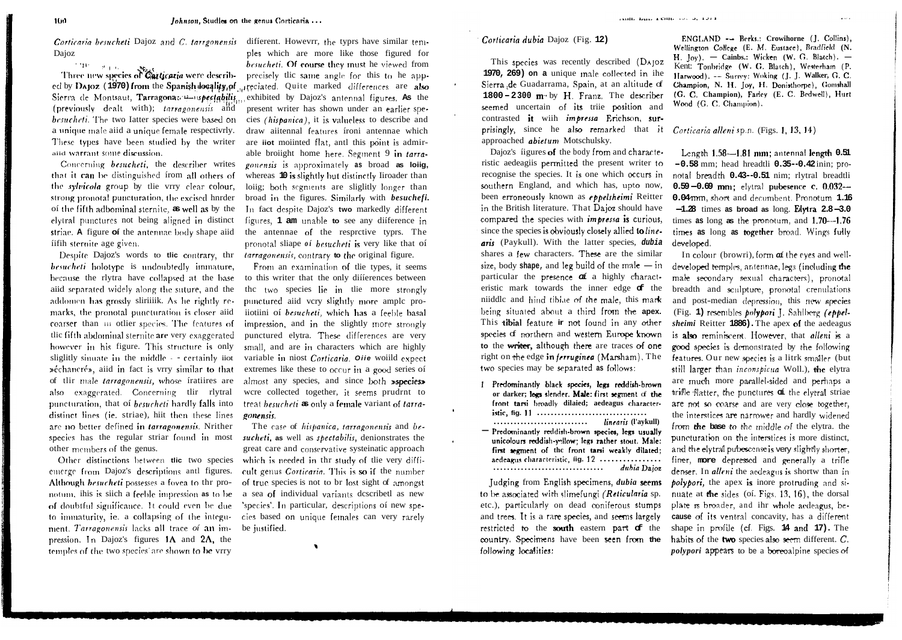*Corticaria besucheti* Dajoz and C, tarrgonensis different. Howevrr, the typrs have similar tem-**Daioz** 

**Pages** ed by DAJOZ (1970) from the Spanish locality, of reciated. Quite marked differences are also Sierra de Montsaut, Tarragona; 1 spectabilis exhibited by Dajoz's antennal figures. As the (previously dealt with); tarragonensis and besucheti. The two latter species were based on cies (hispanica), it is valueless to describe and a unique male aiid a unique female respectivrly. These types have been studied by the writer aiid warrant some discussion.

Concerning besucheti, the describer writes that it can be distinguished from all others of the *sylvicola* group by tlie vrry clear colour, strong pronotal puncturation, the excised hnrder of the fifth adbominal sternite, as well as by the elytral punctures not being aligned in distinct striae. A figure of the antennae body shape aiid fifih sternite age given.

Despite Dajoz's words to the contrary, the *tarragonensis*, contrary to the original figure. besucheti holotype is undoubtedly immature, because the rlytra have collapsed at the base to this writer that the only differences between aiid separated widely along the suture, and the addomen has grossly sliriiik. As he rightly remarks, the pronotal puncturation is closer aiid coarser than iii other species. The features of tlic fifth abdominal sternite are very exaggerated however in his figure. This structure is only small, and are in characters which are highly slightly sinuate in the middle - certainly iiot Ȏchancré», aiid in fact is vrry similar to that of thir male *tarragonensis*, whose fratiires are almost any species, and since both **»species»** also exaggerated. Concerning tlir rlytral puncturation, that of besucheti hardly falls into distinct lines (ie. striae), hiit then these lines gonensis. are no better defined in tarragonensis. Nrither species has the regular striar found in most *sucheti*, as well as *spectabilis*, denionstrates the other members of the genus.

Other distinctions between tlic two species emerge from Dajoz's descriptions antl figures. Although besucheti possesses a fovea to thr pronotum, ihis is siich a feeble impression as to be of doubtful significance. It could even be due to immaturity, ie. a collapsing of the integu- cies based on unique females can very rarely ment. Tarragonensis lacks all trace of an impression. In Dajoz's figures 1A and 2A, the temples of the two species are shown to be vrry

ples which are more like those figured for besucheti. Of course they must he viewed from besucheti. Of course they must he viewed from<br>Three new species of Carticaria were describ-<br>precisely tlic same angle for this to he apppresent writer has shown under an earlier spedraw aiitennal features íroni antennae which are jot moiinted flat, antl this point is admirable broiight home here. Segment 9 in tarragonensis is approximately as broad as lolig, whereas 10 is slightly but distinctly Iiroader than loiig; both segments are slightly longer than broad in the figures. Similarly with *besuchefi*. In fact despite Dajoz's two markedly different figures, 1 am unable to see any difference in the antennae of the respretive typrs. The pronotal sliape of besucheti is very like that of

> From an examination of the types, it seems the two species lie in the more strongly punctured aiid very slightly more ample proiiotiini of besucheti, which has a feeble basal impression, and in the slightly more strongly punctured elytra. These differences are very variable in niost Corticaria. Oile woild expect extremes like these to occur in a good series of wcre collected together, it seems prudrnt to treat *besucheti* as only a female variant of *tarra-*

The case of hispanica, tarragonensis and begreat care and conservative systeinatic approach which is needed in thr study of tlie very difficult genus Corticaria. This is so if the number of true species is not to br lost sight of amongst a sea of individual variants describetl as new 'species'. In particular, descriptions of new spebe justified.

 $\bullet$ 

This species was recently described (DAJOZ 1970, 269) on a unique male collected in ihe Sierra de Guadarrama, Spain, at an altitude of  $1800 - 2300$  m by H. Franz. The describer seemed uncertain of its triie position and contrasted it with *imbressa* Erichson, surprisingly, since he also remarked that it Corticaria alleni sp.n. (Figs. 1, 13, 14) approached abietum Motschulsky.

Dajoz's figures of the body from and characteristic aedeagiis permitted the present writer to recognise the species. It is one which occurs in southern England, and which has, upto now, been erroneously known as *eppelsheimi* Reitter in the British literature. That Dajoz should have compared the species with *impressa* is curious, since the species is obviously closely allied to linearis (Paykull). With the latter species, dubia shares a few characters. These are the similar size, body shape, and leg build of the male  $-\text{in}$ particular the presence  $\sigma$  a highly characteristic mark towards the inner edge  $\sigma$  the niiddle and hind tibiae of the male, this mark being situated about a third from the apex. This tibial feature ir not found in any other species of northern and western Europe known to the writer, although there are traces of one right on the edge in *ferruginea* (Marsham), The two species may be separated as follows:

- 1 Predominantly black species, legs reddish-brown or darker; logs slender, Male; first segment of the front tarsi broadly dilaied; aedeagus character-linearis (l'avkull)
- Predominantly reddish-brown species, legs usually unicolours reddish-yellow; legs rather stout. Male: first segment of the front tarsi weakly dilated; aedeagus characteristic, iig. 12 .................. dubia Dajoz

Judging from English specimens, dubia seems to be associated with slimefungi (Reticularia sp. etc.), particularly on dead coniferous stumps and trees. It is a rare species, and seems largely restricted to the south eastern part of the country. Specimens have been seen from the following localities:

ranni anni a coni social ravia

ENGLAND -- Berks.: Crowihorne (J. Collins), Wellington College (E. M. Eustace), Bradfield (N. H. Joy). - Cainbs.: Wicken (W. G. Blatch). -Kent: Tonbridge (W. G. Blatch), Westerham (P. Harwood), -- Surrey: Woking (J. J. Walker, G. C. Champion, N. H. Iov, H. Donisthorpe), Gomshall (G. C. Champion), Farley (E. C. Bedwell), Hurt Wood (G. C. Champion).

Length 1.58--1.81 mm; antennal length 0.51  $-0.58$  mm; head hreadtli  $0.35 - 0.42$  inin; pronotal breadth 0.43--0.51 nim; rlytral breadtli 0.59-0.69 mm; elytral pubesence c. 0.032--0.04mm, short and decumbent. Pronotum 1.16  $-1.28$  times as broad as long. Elytra  $2.8 - 3.0$ times as long as the pronotum, and  $1.70$ --1.76 times as long as together broad. Wings fully developed.

In colour (browri), form of the eyes and welldeveloped temples, antennae, legs (including the male secondary sexual characters), pronotal breadth and sculpture, pronotal crenulations and post-median depression, this new species (Fig. 1) resembles *polypori* J. Sahlberg (eppelsheimi Reitter 1886). The apex of the aedeagus is also reminiscent. However, that alleni is a good species is demonstrated by the following features. Our new species is a litrk smaller (but still larger than inconspicua Woll.), the elytra are much more parallel-sided and perhaps a trifle flatter, the punctures of the elytral striae are not so coarse and are very close together, the interstices are narrower and hardly widened from the base to the middle of the elvtra, the puncturation on the interstices is more distinct, and the elytral pubescense is very slightly shorter, finer, more depressed and generally a trifle denser. In alleni the aedeagus is shortw than in *polypori*, the apex is inore protruding and sinuate at the sides (of. Figs. 13, 16), the dorsal plate is broader, and ihr whole aedeagus, because of its ventral concavity, has a different shape in profile (cf. Figs. 14 and 17). The habits of the two species also seem different. C. *polypori* appears to be a boreoalpine species of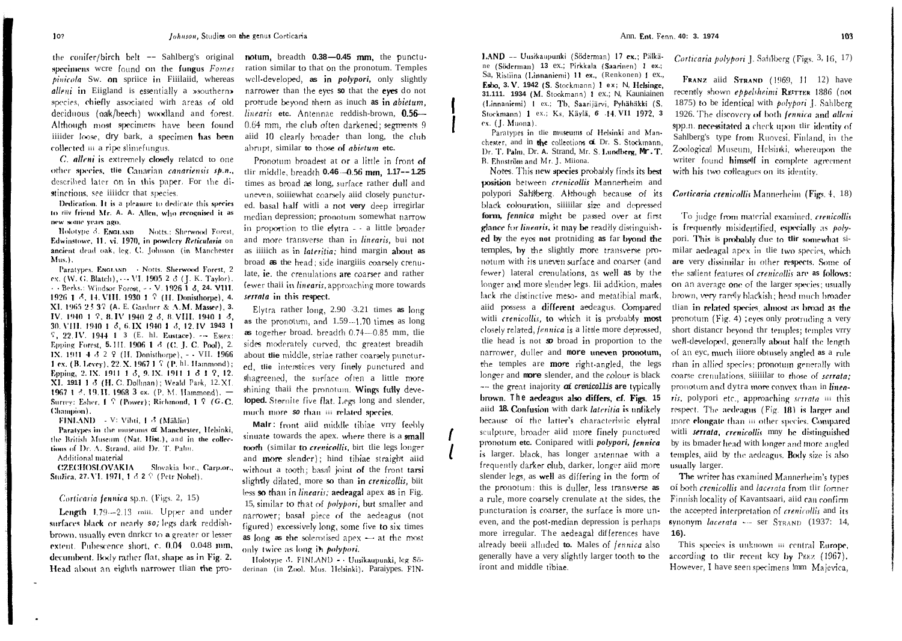the conifer/birch belt  $-$  Sahlberg's original notum, breadth  $0.38 - 0.45$  mm, the punctuspecimens were found on the fungus Fomes pinicola Sw. on spriice in Fiiilaiid, whereas alleni in Eiigland is essentially a »southern» species, chiefly associated with areas of old deciduous (oak/beech) woodland and forest. iiiider loose, dry bark, a specimen has been collected in a ripe slimefungus.

C. alleni is extremely closely related to one other species, the Canarian canariensis sp.n., described later on in this paper. For the distinctions, see iiiidcr that species.

Dedication. It is a pleasure to dedicate this species to riiv friend Mr. A. A. Allen, who recognised it as new some years ago.

Holotype 3, ENGLAND Notts.: Sherwood Forest, Edwinstowe, 11. vi. 1970, in powdery Reticularia on ancient dead oak, leg. C. Johnson (in Manchester  $Mus.$ ).

Paratypes. ENGLAND - Notts. Sherwood Forest, 2 ex. (W. G. Blatch), - VI. 1905 2 3 (J. K. Taylor).  $-$  Berks.: Windsor Forest.  $-$  V. 1926 1 8, 24, VIII. 1926 1 3, 14, VIII, 1930 1 7 (H. Donisthorpe), 4. XI, 1965 23 37 (A. E. Gardner & A. M. Massee), 3. IV, 1940 1 7, 8, IV 1940 2 3, 8, VIII, 1940 1 3, 30. VIII. 1940 1 8, 6. IX 1940 1 8, 12. IV 1943 1  $\frac{1}{2}$ , 22. IV. 1944 1 3 (E. hl. Eustace). - Essex: Epping Forest, 5.111, 1906 1 3 (C. J. C. Pool), 2. IX. 1911 4  $3\ 2\ 9$  (H. Donisthorpe),  $-$  VII. 1966 1 ex. (B. Levey), 22. X. 1967 1 7 (P. hl. Hammond); Epping, 2. IX. 1911 1 3, 9. IX. 1911 1 3 1 2, 12. XI. 1911 1 3 (H. C. Dollman); Weald Park, 12.XI. 1967 1 3, 19, II, 1968 3 cx. (P. M. Hammond). -Surrey: Esher, J. ? (Power): Richmond, J. ? (G.C. Champion).

FINLAND V: Vihti, 1 3 (Mäklin)

Paratypes in the museums of Manchester, Helsinki, the British Museum (Nat. Hist.), and in the collections of Dr. A, Strand, aiid Dr. T. Palm. Additional material

CZECHOSLOVAKIA Slovakia bor., Carp.or., Stužica, 27. VI. 1971, 1 3 2 9 (Petr Nohel).

#### Corticaria fennica sp.n. (Figs. 2, 15)

Length 1,79-2.13 miii. Upper and under surfaces black or nearly so; legs dark reddishbrown, usually even dnrkcr to a greater or lesser extent. Pubescence short, c. 0.04 0.048 mm, decumbent. Body rather flat, shape as in Fig. 2. Head about an eighth narrower tlian the pro-

ration similar to that on the pronotum. Temples well-developed, as in *polypori*, only slightly narrower than the eyes so that the eyes do not protrude beyond them as inuch as in abietum, linearis etc. Antennae reddish-brown, 0.56-Although most specimens have been found 0.64 mm, rhe club often darkened; segments 9 aiid 10 clearly broader than long, the club abrupt, similar to those of abietum etc.

> Pronotum broadest at or a little in front of tlir middle, breadth 0.46 -0.56 mm, 1.17--1.25 times as broad as long, surface rather dull and uneven, soiiiewhat coarsely aiid closely punctured. basal half with a not very deep irregirlar median depression; pronotum somewhat narrow in proportion to the elytra - - a little broader and more transverse than in *linearis*, but not as iiiich as in lateritia; hind margin about as broad as the head; side inargiiis coarsely crenulate, ie. the crenulations are coarser and rather fewer thail in linearis, approaching more towards serrata in this respect.

> Elytra rather long, 2.90 -3.21 times as long as the pronotum, and 1.59-1.70 times as long as together broad. breadth 0.74-0.85 mm, the sides moderately curved, the greatest breadih about the middle, striae rather coarsely punctured, the interstices very finely punctured and shagreened, the surface often a little more shining thaii the pronotum. Wings fully developed. Sternite five flat. Legs long and slender, much more so than iii related species.

> Malr: front aiid middle tibiae vrry feebly sinuate towards the apex. where there is a small tooth (similar to crenicollis, birt the legs longer and more slender); hind tibiae straight aiid without a tooth; basal joint of the front tarsi slightly dilated, more so than in crenicollis, biit less so than in linearis; aedeagal apex as in Fig. 15, similar to that of *polypori*, but smaller and narrower; basal piece of the aedeagus (not figured) excessively long, some five to six times as long as the solerotised apex - at the most only twice as long in *polypori*.

Holotype 3, FINLAND - Uusikaupunki, leg Söderinan (in Zool. Mus. Helsinki). Paraiypes. FIN- 1.AND -- Uusikaupunki (Söderman) 17 ex.; Pälkäne (Söderman) 13 ex.; Pirkkala (Saarinen) 1 ex.; Sa, Ristiina (Linnaniemi) 11 ex., (Renkonen) 1 ex., Esbo, 3. V. 1942 (S. Stockmann) 1 ex: N. Helsinge, 31.111. 1934 (M. Stockmann) 1 ex.; N. Kauniainen (Linnaniemi) 1 ex.; Tb, Saarijärvi, Pyhähäkki (S, Stockmann) 1 ex.; Ks. Käylä, 6 14. VI1 1972, 3 ex. (J. Muona).

Paratypes in the museums of Helsinki and Manchester, and in the collections of Dr. S. Stockmann, Dr. T. Palm. Dr. A. Strand. Mr. S. Lundberg. Mr., T. B. Ehnström and Mr. J. Miiona.

Notes. This new species probably finds its best position between crenicollis Mannerheim and polypori Sahlberg. Although because of its black colouration, siiiilar size and depressed form, fennica might be passed over at first glance for linearts, it may be readily distinguished by the eyes not protniding as far byond the temples, by the slightly more transverse pronotum with its uneven surface and coarser (and fewer) lateral crenulations, as well as by the longer and more slender legs. Iii addition, males lack rhe distinctive meso- and metatibial mark. aiid possess a different aedeagus. Compared witli crenicollis, to which it is probably most closely related, fennica is a little more depressed, the head is not so broad in proportion to the narrower, duller and more uneven pronotum, the temples are more right-angled, the legs longer and more slender, and the colour is black --- the great inajority of crenicollis are typically brown. The aedeagus also differs, cf. Figs. 15 aiid 18. Confusion with dark lateritia is unlikely because of the latter's characteristic elytral sculpture, broader aiid more finely punctured pronotum etc. Conipared witli polypori, fennica is larger, black, has longer antennae with a frequently darker olub, darker, longer aiid more slender legs, as well as differing in the form of the pronotum: this is duller, less transverse as a rule, more coarsely crenulate at the sides, the puncturation is coarser, the surface is more uneven, and the post-median depression is perhaps more irregular. The aedeagal differences have 16). already beeii alluded to. Males of fennica also generally have a very slightly larger tooth to the according to thir recent key by PEEZ (1967). front and middle tibiae.

Corticaria polypori J. Sahlberg (Figs. 3, 16, 17)

FRANZ aiid STRAND (1969, 11 12) have recently shown eppelsheimi REITTER 1886 (not 1875) to be identical with  $polyport$  J. Sahlberg 1926. The discovery of both fennica and alleni spp.n. necessitated a check upon tlir identity of Sahlberg's type from Ruovesi, Finland, in the Zoological Museum, Helsinki, whereupon the writer found himself in complete agreement with his two colleagues on its identity.

Corticaria crenicollis Mannerheim (Figs. 4, 18)

To judge from material examined, crenicollis is frequently misidentified, especially as polypori. This is probably due to tlir somewhat similar aedeagal apex in the two species, which are very dissimilar in other respects. Some of the salient features of *crenicollis* are as follows: on an average one of the larger species; usually brown, very rarely blackish; head much broader tlian in related species, almost as broad as the pronotum (Fig. 4); eyes only protruding a very short distancr beyond thr temples; temples vrry well-developed, generally about half the length of an eyc, much iiiore obtusely angled as a rule rhan in allied species; pronotum generally with coarse crenulations, siiiilar to those of serrata; pronotum and dytra more convex than in linearis, polypori etc., approaching serrata iii this respect. The aedeagus (Fig. 18) is larger and more elongate than iii other species. Compared with serrata, crenicollis mny be distinguished by its bmader head with longer and more angled temples, aiid by the aedeagus. Body size is also usually larger.

The writer has examined Mannerheim's types of both crenicollis and lacerata from tlir former Finnish locality of Kavantsaari, aiid can confirm the accepted interpretation of crenicollis and its synonym lacerata --- ser STRAND (1937: 14,

This species is unknown in central Europe, However, I have seen specimens !mm Majevica,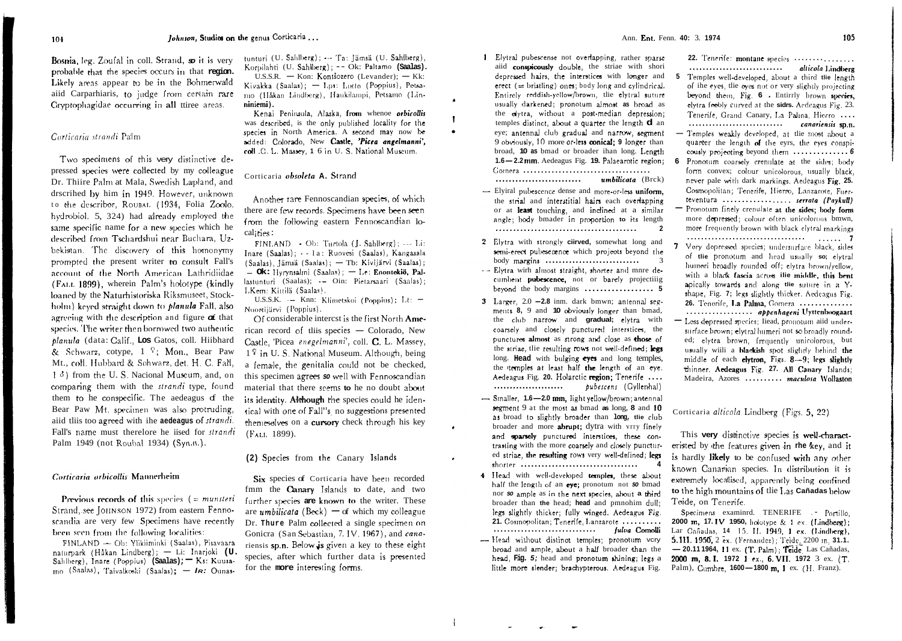Bosnia, leg. Zoufal in coll. Strand, so it is very probable that the species occurs in that region. Likely areas appear to be in the Bohmerwald aiid Carparhiaris, to judge from certain rare Cryptophagidae occurring in all ttiree areas.

### Corticaria strandi Palm

Two specimens of this very distinctive depressed species were collected by my colleague Dr. Thiire Palm at Mala, Swedish Læpland, and drscrihed by him in 1949. However, unknown to the describer, ROUBAL (1934, Folia Zoolo. hydrobiol. 5, 324) had already employed the same specific name for a new species which he described from Tschardshui near Buchara, Uzbekistan. The discovery of this homonymy prompted the present writer to consult Fall's account of the North American Lathridiidae (FALL 1899), wherein Palm's holotype (kindly) loaned by the Naturhistoriska Riksmuseet, Stockholm) keyed straight down to *planula* Fall, also agreeing with the description and figure  $\sigma$  that species. The writer then borrowed two authentic planula (data: Calif., Los Gatos, coll. Hiibhard & Schwarz, cotype,  $1 \tImes$  Mon., Bear Paw Mt., coll. Hubbard & Sohwarz, det. H. C. Fall,  $\left( \begin{array}{cc} 1 & \delta \end{array} \right)$  from the U.S. Nacional Museum, and, on comparing them with the *strandi* type, found them to be conspecific. The aedeagus of the Bear Paw Mt. specimen was also protruding, aiid this too agreed with the aedeagus of strandi. Fall's name must therefore he iised for strandi Palm 1949 (not Roubal 1934) (Syn.n.).

#### Corticaria orbicollis Mannerheim

Previous records of this species  $($  = munsteri Strand, see JOHNSON 1972) from eastern Fennoscandia are very few Specimens have recently been seen from the following localities:

FINLAND - Ob: Ylikiiminki (Saalas), Pisavaara naturpark (Håkan Lindberg); - Li: Inarjoki (U. Sahlberg), Inare (Poppius) (Saalas); Ks: Kuusa- $_{100}$  (Saalas), Taivalkoski (Saalas); - IR: Ounas-

tunturi (U. Sahlberg); --- Ta: Jämsä (U. Sahlberg), Korpilahti (U. Sahlberg); -- Ok: Paltamo (Saalas). U.S.S.R. - Kon: Kontšozero (Levander):  $-Kk$ : Kivakka (Saalas); - Lps: Lutto (Poppius), Petsa-

mo (Håkan Lindberg), Haukilampi, Petsamo (Linniniemi). Kenai Peninsula, Alaska, from whenoe orbicollis

was described, is the only published locality for the species in North America. A second may now be added: Colorado, New Castle, 'Picea angelmanni', coll G. L. Massey, 1 6 in U. S. National Museum.

#### Corticaria obsoleta A. Strand

Another rare Fennoscandian species, of which there are few records. Specimens have been seen from the following eastern Fennoscandian localities:

 $\text{FINLAND} = \text{Ob: Turtola (I. Sahlberg)} \rightarrow \text{Li.}$ Inare (Saalas): - - 1a: Ruovesi (Saalas), Kangasala (Saalas), Jämsä (Saalas); - Tb; Kivijärvi (Saalas); - Ok: Hyrynsalmi (Saalas); - Le: Enontekiö, Pallastunturi (Saalas); - Oin: Pietarsaari (Saalas); LKem: Kittilä (Saalas).

U.S.S.K. - Knn: Klimetskol (Poppius); Lt: -Nuortijärvi (Poppius).

Of considerable interest is the first North American record of this species - Colorado. New Castle. 'Picea enegelmanni', coll. C. L. Massey,  $1^{\mathcal{L}}$  in U. S. National Museum. Although, being a female, the genitalia could not be checked. this specimen agrees so well with Fennoscandian material that there seems to he no doubt about its identity. Although the species could be identical with one of Fall"s no suggestions presented themeselves on a cursory check through his key (FALL 1899).

#### (2) Species from the Canary Islands

Six species of Corticaria have been recorded fmm the **Canary** Islands to date, and two further species are known to the writer. These are *umbilicata* (Beck) – of which my colleague Dr. Thure Palm collected a single specimen on Gonicra (San Sebastian, 7. IV, 1967), and canariensis sp.n. Below is given a key to these eight species, after which further data is presented for the more interesting forms.

 $5 -$ 

- 1 Elytral pubescense not overlapping, rather sparse aiid conspicously double, the striae with shori depressed hairs, the interstices with longer and erect  $($  = bristling) ones; hody long and cylindrical. Entirely reddish-yellow/brown, the elytral suture usually darkened; pronotum almost as broad as the elytra, without a post-median depression; temples distinct, about a quarter the length d an eye; antennal club gradual and narrow, segment 9 obviously, 10 more or less conical; 9 longer than broad. 10 as bmad or broader ihan long. Length 1.6-2.2mm. Aedeagus Fig. 19. Palaearotic region: umbilicata (Brck)
- Elviral pubescence dense and more-or-less uniform. the strial and interstitial hairs each overlanning or at least touching, and indined at a similar angle; body bmader in proportion to its length  $\overline{2}$
- 2 Elytra with strongly ciirved, somewhat long and semi-erect pubesecence which projects beyond the  $body$  margins ............................  $\overline{\mathbf{3}}$ -- Elvtra wirh almost straight, shorter and mnre de-
- cumbent pubescence, not or barely projectiiig
- 3 Larger,  $2.0 2.8$  inm. dark bmwn: antennal segments 8, 9 and 10 obviously longer than bmad. the club narrow and gradual; elytra with coarsely and closely punctured interstices, the punctures almost as strong and close as those of the striae, the resulting rows not well-defined; legs long. Head with bulging eves and long temples. the itemples at least half the length of an eye. Aedeagus Fig. 20. Holarctic region: Tenerife .... bubescens (Gyllenhal)
- Smaller, 1.6-2.0 mm. light vellow/brown: antennal segment 9 at the most as bmad as long. 8 and 10 as broad to slightly broader than long, the club broader and more abrupt; dytra with vrry finely and sparsely punctured interstices, these contrasting with the more coarsely and closely punctured striae. the resulting rows very well-defined: legs
- 4 Head with well-developed temples, these about half the length of an eye; pronotum not so bmad nor so ample as in the next species, about a third broader than the head: head and pmnohim dull: legs slightly thicker: fully winged. Aedeagus Fig. 21. Cosmopolitan: Tenerife, Lanzarote .......... fulva Comolli
- Head without distinct temples; pronotum vcry broad and ample, about a half broader than the head. Fig. 5; head and pronotum shining; legs a little more slender; brachypterous, Aedeagus Fig.

22. Tenerife: montane species ................

105

........................... alticola Lindberg Temples well-developed, about a third the length of the eyes, the eyes not or very slightly projecting beyond them. Fig. 6 . Entirrly brown species. elytra feebly curved at the sidrs. Aedeagus Fig. 23. Tenerife, Grand Canary, La Palina, Hierro .... 

- Temples weakly developed, at the most about a quarter the length of the eyrs, the eyes conspicously projecting beyond them ................ 6 Pronotum coarsely crenulate at the sides: body 6

form convex; colour unicolorous, usually black, never pale with dark markings. Aedeagus Fig. 25. Cosmopolitan: Tenerife, Hierro, Lanzarote, Fuerteventura ................. serrata (Paykull)

- Pronotum finely crenulate at the sides: body form more depressed: colour often unicolorous bmwn, more frequently brown with black elytral markings
- Very dopressed species; undersurface black, sides of the pronotum and head usually so; elytral humeri broadly rounded off; elytra brown/yellow, with a black fascia across ilie middle, this bent apically towards and along the suture in a Yshape. Fig. 7; legs slightly thicker, Aedeagus Fig. 26. Tenorife, La Palma, Gomera .............. ................. abbenhageni Uyttenboogaart
- Less depressed species: Iiead, pronotum aiid undersurface brown: elytral humeri not so broadly round. ed: elytra brown, frequently unicolorous, but usually willi a blackish spot slightly behind the middle of each elytron. Figs. 8-9; legs slightly thinner. Aedeagus Fig. 27. All Canary Islands: Madeira. Azores ......... maculosa Wollaston

Corticaria alticola Lindberg (Figs. 5, 22)

This very distinctive species is well-characteristed by the features given in rhe key, and it is hardly likely to be confused with any other known Canarian species. In distribution it is extremely localised, apparently being confined to the high mountains of the Las Cañadas below Teide, on Tenerife.

Specimens examined. TENERIFE .- Portillo, 2000 m. 17. IV 1950, holotype & 1 ex. (Lindberg); Lar Cañadas, 14 15 II. 1949, 1 ex. (Lindberg), 5.111. 1950, 2 ex. (Fernandez); Telde, 2200 m, 31.1. -20.111964, 11 ex. (T. Palm); Teide Las Cañadas, 2000 m. 8. I. 1972 1 ex., 6. VII. 1972 3 ex. (T. Palm), Cumbre, 1600-1800 m, J ex. (H. Franz).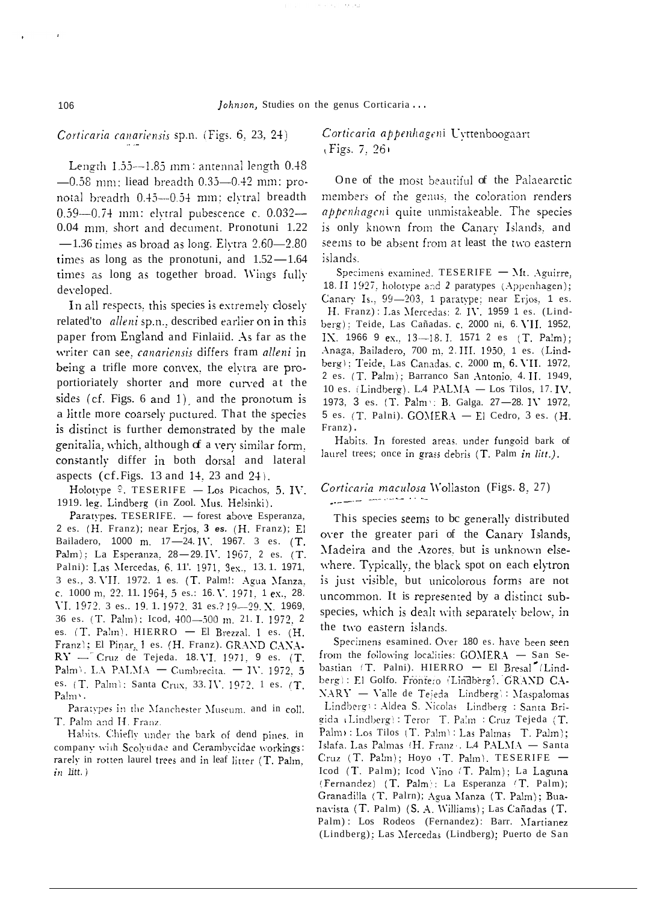# Corticaria canariensis sp.n. (Figs. 6, 23, 24)

Length 1.55--1.85 mm: antennal length 0.48  $-0.58$  mm; liead breadth  $0.35-0.42$  mm; pronotal breadth 0.45-0.54 mm: elvtral breadth 0.59-0.74 mm: elvtral pubescence c. 0.032-0.04 mm, short and decument. Pronotuni 1.22  $-1.36$  times as broad as long. Elytra  $2.60 - 2.80$ times as long as the pronotuni, and  $1.52 - 1.64$ times as long as together broad. Wings fully developed.

In all respects, this species is extremely closely related'to alleni sp.n., described earlier on in this paper from England and Finlaiid. As far as the writer can see, canariensis differs fram alleni in being a trifle more convex, the elvtra are proportioriately shorter and more curved at the sides (cf. Figs. 6 and 1), and the pronotum is a little more coarsely puctured. That the species is distinct is further demonstrated by the male genitalia, which, although of a very similar form, constantly differ in both dorsal and lateral aspects (cf. Figs. 13 and 14, 23 and 24).

Holotype  $\frac{6}{7}$ . TESERIFE — Los Picachos, 5. IV. 1919. leg. Lindberg (in Zool. Mus. Helsinki).

Paratypes. TESERIFE. - forest above Esperanza, 2 es. (H. Franz); near Erjos, 3 es. (H. Franz); El Bailadero, 1000 m. 17-24. IV. 1967. 3 es. (T. Palm); La Esperanza, 28-29. IV. 1967, 2 es. (T. Palni): Las Mercedas, 6, 11', 1971, 3ex., 13.1, 1971, 3 es., 3. VII. 1972. 1 es. (T. Palm!: Agua Manza, c. 1000 m, 22, 11, 1964, 5 es.: 16. V. 1971, 1 ex., 28. VI. 1972. 3 es.. 19. 1. 1972. 31 es.? 19-29. X. 1969, 36 es. (T. Palm): Icod, 400-500 m. 21. I. 1972, 2 es.  $(T.$  Palm). HIERRO - El Brezzal. 1 es.  $(H.$ Franz); El Pinar, 1 es. (H. Franz). GRAND CANA- $RY -$  Cruz de Tejeda. 18. VI. 1971, 9 es. (T. Palm<sup>3</sup>. LA PALMA - Cumbrecita. - IV. 1972, 5 es. (T. Palm): Santa Crux. 33. IV. 1972, 1 es. (T. Palm<sup>1</sup>.

Paratypes in the Manchester Museum, and in coll. T. Palm and H. Franz.

Habits. Chiefly under the bark of dend pines, in company with Scolytidae and Cerambycidae workings: rarely in rotten laurel trees and in leaf litter (T. Palm.  $in$  litt.)

Corticaria appenhageni Uyttenboogaart  $(Figs. 7, 26)$ 

One of the most beautiful of the Palaearctic members of the genus, the coloration renders appenhageni quite unmistakeable. The species is only known from the Canary Islands, and seems to be absent from at least the two eastern islands.

Specimens examined. TESERIFE - Mt. Aguirre, 18. II 1927, holotype and 2 paratypes (Appenhagen); Canary Is., 99-203, 1 paratype; near Erjos, 1 es. H. Franz): Las Mercedas: 2. IV. 1959 1 es. (Lindberg); Teide, Las Cañadas. c. 2000 ni, 6. VII. 1952, IX. 1966 9 ex., 13-18. I. 1571 2 es (T. Palm); Anaga, Bailadero, 700 m, 2. III. 1950, 1 es. (Lindberg); Teide, Las Canadas. c. 2000 m, 6. VII. 1972, 2 es. (T. Palm); Barranco San Antonio, 4. II. 1949, 10 es. (Lindberg). L4 PALMA - Los Tilos, 17. IV. 1973, 3 es. (T. Palm : B. Galga. 27-28. IV 1972, 5 es. (T. Palni). GOMERA - El Cedro, 3 es. (H. Franz).

Habits. In forested areas, under fungoid bark of laurel trees; once in grass debris (T. Palm in litt.).

# Corticaria maculosa Wollaston (Figs. 8, 27)

This species seems to be generally distributed over the greater pari of the Canary Islands, Madeira and the Azores, but is unknown elsewhere. Typically, the black spot on each elytron is just visible, but unicolorous forms are not uncommon. It is represented by a distinct subspecies, which is dealt with separately below, in the two eastern islands.

Specimens esamined. Over 180 es. have been seen from the following localities: GOMERA - San Sebastian (T. Palni). HIERRO - El Bresal (Lindberg): El Golfo. Frontero (Lindberg). GRAND CA-NARY - Valle de Tejeda Lindberg): Maspalomas Lindberg): Aldea S. Nicolas Lindberg : Santa Brigida (Lindberg): Teror T. Palm : Cruz Tejeda (T. Palm : Los Tilos (T. Palm): Las Palmas T. Palm); Islafa, Las Palmas (H. Franz , L4 PALMA - Santa Cruz (T. Palm); Hoyo T. Palm). TESERIFE -Icod (T. Palm); Icod Vino (T. Palm); La Laguna (Fernandez) (T. Palm): La Esperanza (T. Palm); Granadilla (T. Palrn); Agua Manza (T. Palm); Buanavista (T. Palm) (S. A. Williams); Las Cañadas (T. Palm): Los Rodeos (Fernandez): Barr. Martianez (Lindberg); Las Mercedas (Lindberg); Puerto de San

106

 $\pmb{\cdot}$